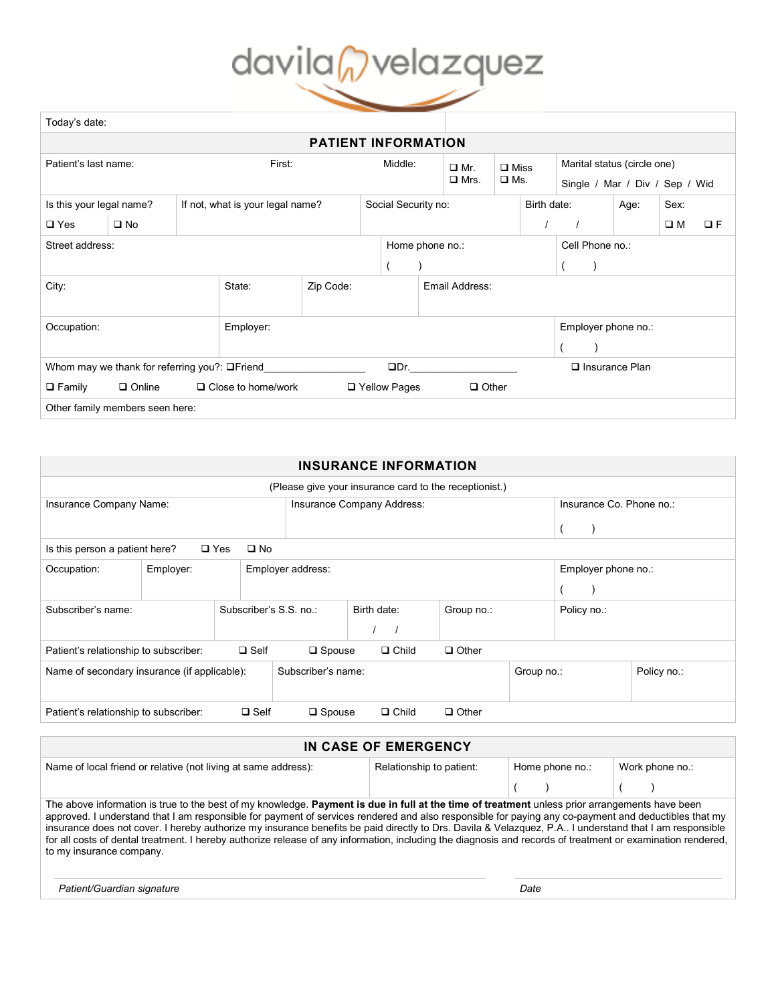## davilan velazquez

| Today's date:                                                        |               |  |                                  |                |                 |                     |  |                           |                                 |                     |                                |             |          |  |  |
|----------------------------------------------------------------------|---------------|--|----------------------------------|----------------|-----------------|---------------------|--|---------------------------|---------------------------------|---------------------|--------------------------------|-------------|----------|--|--|
| <b>PATIENT INFORMATION</b>                                           |               |  |                                  |                |                 |                     |  |                           |                                 |                     |                                |             |          |  |  |
| Patient's last name:                                                 |               |  | First:                           |                |                 | Middle:             |  | $\Box$ Mr.<br>$\Box$ Mrs. | $\square$ Miss<br>$\square$ Ms. |                     | Marital status (circle one)    |             |          |  |  |
|                                                                      |               |  |                                  |                |                 |                     |  |                           |                                 |                     | Single / Mar / Div / Sep / Wid |             |          |  |  |
| Is this your legal name?                                             |               |  | If not, what is your legal name? |                |                 | Social Security no: |  |                           |                                 | Birth date:         |                                | Age:        | Sex:     |  |  |
| $\square$ Yes                                                        | $\square$ No  |  |                                  |                |                 |                     |  |                           |                                 |                     |                                | $\square$ M | $\Box F$ |  |  |
| Street address:                                                      |               |  |                                  |                | Home phone no.: |                     |  |                           |                                 | Cell Phone no.:     |                                |             |          |  |  |
|                                                                      |               |  |                                  |                |                 |                     |  |                           |                                 |                     |                                |             |          |  |  |
| Zip Code:<br>City:<br>State:                                         |               |  |                                  | Email Address: |                 |                     |  |                           |                                 |                     |                                |             |          |  |  |
|                                                                      |               |  |                                  |                |                 |                     |  |                           |                                 |                     |                                |             |          |  |  |
| Occupation:<br>Employer:                                             |               |  |                                  |                |                 |                     |  |                           |                                 | Employer phone no.: |                                |             |          |  |  |
|                                                                      |               |  |                                  |                |                 |                     |  |                           |                                 |                     |                                |             |          |  |  |
| $\square$ Dr.<br>Whom may we thank for referring you?: $\Box$ Friend |               |  |                                  |                |                 |                     |  |                           |                                 |                     | $\Box$ Insurance Plan          |             |          |  |  |
| $\Box$ Family                                                        | $\Box$ Online |  | $\Box$ Close to home/work        |                |                 | □ Yellow Pages      |  | $\Box$ Other              |                                 |                     |                                |             |          |  |  |
| Other family members seen here:                                      |               |  |                                  |                |                 |                     |  |                           |                                 |                     |                                |             |          |  |  |

| <b>INSURANCE INFORMATION</b>                                                                             |                                  |  |                        |                          |                           |  |                     |             |  |  |  |
|----------------------------------------------------------------------------------------------------------|----------------------------------|--|------------------------|--------------------------|---------------------------|--|---------------------|-------------|--|--|--|
| (Please give your insurance card to the receptionist.)                                                   |                                  |  |                        |                          |                           |  |                     |             |  |  |  |
| Insurance Company Name:                                                                                  | Insurance Company Address:       |  |                        | Insurance Co. Phone no.: |                           |  |                     |             |  |  |  |
|                                                                                                          |                                  |  |                        |                          |                           |  |                     |             |  |  |  |
| $\square$ Yes<br>Is this person a patient here?<br>$\square$ No                                          |                                  |  |                        |                          |                           |  |                     |             |  |  |  |
| Occupation:                                                                                              | Employer address:                |  |                        |                          |                           |  | Employer phone no.: |             |  |  |  |
|                                                                                                          |                                  |  |                        |                          |                           |  |                     |             |  |  |  |
| Subscriber's name:                                                                                       |                                  |  | Subscriber's S.S. no.: |                          | Birth date:<br>Group no.: |  |                     | Policy no.: |  |  |  |
|                                                                                                          |                                  |  |                        |                          |                           |  |                     |             |  |  |  |
| Patient's relationship to subscriber:<br>$\Box$ Self<br>$\square$ Spouse<br>$\Box$ Child<br>$\Box$ Other |                                  |  |                        |                          |                           |  |                     |             |  |  |  |
| Name of secondary insurance (if applicable):                                                             | Subscriber's name:<br>Group no.: |  |                        |                          |                           |  | Policy no.:         |             |  |  |  |
|                                                                                                          |                                  |  |                        |                          |                           |  |                     |             |  |  |  |
| $\square$ Self<br>$\Box$ Child<br>Patient's relationship to subscriber:<br>$\Box$ Spouse<br>$\Box$ Other |                                  |  |                        |                          |                           |  |                     |             |  |  |  |

| IN CASE OF EMERGENCY                                                                                                                                                                                                                                                                                                                                                                                                                                                                                                                                                                                                                                        |                          |                 |                 |  |  |  |  |  |  |
|-------------------------------------------------------------------------------------------------------------------------------------------------------------------------------------------------------------------------------------------------------------------------------------------------------------------------------------------------------------------------------------------------------------------------------------------------------------------------------------------------------------------------------------------------------------------------------------------------------------------------------------------------------------|--------------------------|-----------------|-----------------|--|--|--|--|--|--|
| Name of local friend or relative (not living at same address):                                                                                                                                                                                                                                                                                                                                                                                                                                                                                                                                                                                              | Relationship to patient: | Home phone no.: | Work phone no.: |  |  |  |  |  |  |
|                                                                                                                                                                                                                                                                                                                                                                                                                                                                                                                                                                                                                                                             |                          |                 |                 |  |  |  |  |  |  |
| The above information is true to the best of my knowledge. Payment is due in full at the time of treatment unless prior arrangements have been<br>approved. I understand that I am responsible for payment of services rendered and also responsible for paying any co-payment and deductibles that my<br>insurance does not cover. I hereby authorize my insurance benefits be paid directly to Drs. Davila & Velazquez, P.A I understand that I am responsible<br>for all costs of dental treatment. I hereby authorize release of any information, including the diagnosis and records of treatment or examination rendered,<br>to my insurance company. |                          |                 |                 |  |  |  |  |  |  |
| Patient/Guardian signature                                                                                                                                                                                                                                                                                                                                                                                                                                                                                                                                                                                                                                  |                          | Date            |                 |  |  |  |  |  |  |